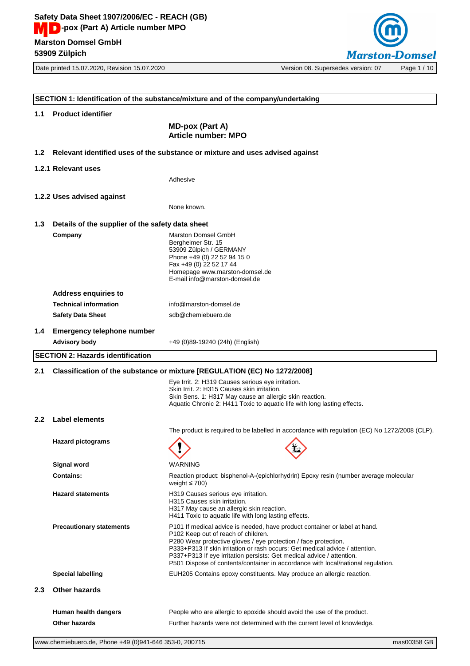Date printed 15.07.2020, Revision 15.07.2020 Version 08. Supersedes version: 07 Page 1 / 10



|                                  | SECTION 1: Identification of the substance/mixture and of the company/undertaking |                                                                                                                                                                                                                                                                                                                                                                                                                                   |  |
|----------------------------------|-----------------------------------------------------------------------------------|-----------------------------------------------------------------------------------------------------------------------------------------------------------------------------------------------------------------------------------------------------------------------------------------------------------------------------------------------------------------------------------------------------------------------------------|--|
| <b>Product identifier</b><br>1.1 |                                                                                   |                                                                                                                                                                                                                                                                                                                                                                                                                                   |  |
|                                  |                                                                                   | <b>MD-pox (Part A)</b><br><b>Article number: MPO</b>                                                                                                                                                                                                                                                                                                                                                                              |  |
| 1.2 <sub>1</sub>                 | Relevant identified uses of the substance or mixture and uses advised against     |                                                                                                                                                                                                                                                                                                                                                                                                                                   |  |
|                                  | 1.2.1 Relevant uses                                                               |                                                                                                                                                                                                                                                                                                                                                                                                                                   |  |
|                                  |                                                                                   | Adhesive                                                                                                                                                                                                                                                                                                                                                                                                                          |  |
|                                  | 1.2.2 Uses advised against                                                        |                                                                                                                                                                                                                                                                                                                                                                                                                                   |  |
|                                  |                                                                                   | None known.                                                                                                                                                                                                                                                                                                                                                                                                                       |  |
| 1.3                              | Details of the supplier of the safety data sheet                                  |                                                                                                                                                                                                                                                                                                                                                                                                                                   |  |
|                                  | Company                                                                           | Marston Domsel GmbH<br>Bergheimer Str. 15<br>53909 Zülpich / GERMANY<br>Phone +49 (0) 22 52 94 15 0<br>Fax +49 (0) 22 52 17 44<br>Homepage www.marston-domsel.de<br>E-mail info@marston-domsel.de                                                                                                                                                                                                                                 |  |
|                                  | <b>Address enquiries to</b>                                                       |                                                                                                                                                                                                                                                                                                                                                                                                                                   |  |
|                                  | <b>Technical information</b>                                                      | info@marston-domsel.de                                                                                                                                                                                                                                                                                                                                                                                                            |  |
|                                  | <b>Safety Data Sheet</b>                                                          | sdb@chemiebuero.de                                                                                                                                                                                                                                                                                                                                                                                                                |  |
| $1.4^{\circ}$                    | <b>Emergency telephone number</b>                                                 |                                                                                                                                                                                                                                                                                                                                                                                                                                   |  |
|                                  | <b>Advisory body</b>                                                              | +49 (0)89-19240 (24h) (English)                                                                                                                                                                                                                                                                                                                                                                                                   |  |
|                                  | <b>SECTION 2: Hazards identification</b>                                          |                                                                                                                                                                                                                                                                                                                                                                                                                                   |  |
| 2.1                              |                                                                                   | Classification of the substance or mixture [REGULATION (EC) No 1272/2008]                                                                                                                                                                                                                                                                                                                                                         |  |
|                                  |                                                                                   |                                                                                                                                                                                                                                                                                                                                                                                                                                   |  |
|                                  |                                                                                   | Eye Irrit. 2: H319 Causes serious eye irritation.<br>Skin Irrit. 2: H315 Causes skin irritation.<br>Skin Sens. 1: H317 May cause an allergic skin reaction.<br>Aquatic Chronic 2: H411 Toxic to aquatic life with long lasting effects.                                                                                                                                                                                           |  |
| 2.2                              | <b>Label elements</b>                                                             |                                                                                                                                                                                                                                                                                                                                                                                                                                   |  |
|                                  |                                                                                   | The product is required to be labelled in accordance with regulation (EC) No 1272/2008 (CLP).                                                                                                                                                                                                                                                                                                                                     |  |
|                                  | <b>Hazard pictograms</b>                                                          | $\mathbf{H}$                                                                                                                                                                                                                                                                                                                                                                                                                      |  |
|                                  | Signal word                                                                       | WARNING                                                                                                                                                                                                                                                                                                                                                                                                                           |  |
|                                  | <b>Contains:</b>                                                                  | Reaction product: bisphenol-A-(epichlorhydrin) Epoxy resin (number average molecular<br>weight $\leq 700$ )                                                                                                                                                                                                                                                                                                                       |  |
|                                  | <b>Hazard statements</b>                                                          | H319 Causes serious eye irritation.<br>H315 Causes skin irritation.<br>H317 May cause an allergic skin reaction.<br>H411 Toxic to aquatic life with long lasting effects.                                                                                                                                                                                                                                                         |  |
|                                  | <b>Precautionary statements</b>                                                   | P101 If medical advice is needed, have product container or label at hand.<br>P102 Keep out of reach of children.<br>P280 Wear protective gloves / eye protection / face protection.<br>P333+P313 If skin irritation or rash occurs: Get medical advice / attention.<br>P337+P313 If eye irritation persists: Get medical advice / attention.<br>P501 Dispose of contents/container in accordance with local/national regulation. |  |
|                                  | <b>Special labelling</b>                                                          | EUH205 Contains epoxy constituents. May produce an allergic reaction.                                                                                                                                                                                                                                                                                                                                                             |  |
| 2.3                              | <b>Other hazards</b>                                                              |                                                                                                                                                                                                                                                                                                                                                                                                                                   |  |
|                                  | Human health dangers                                                              | People who are allergic to epoxide should avoid the use of the product.                                                                                                                                                                                                                                                                                                                                                           |  |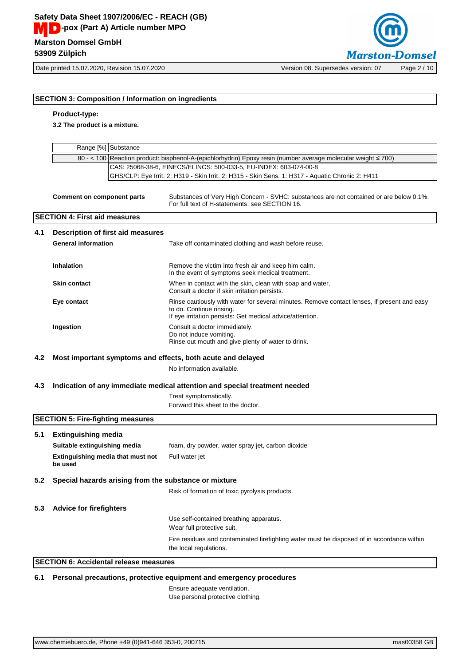

## **SECTION 3: Composition / Information on ingredients**

## **Product-type:**

**3.2 The product is a mixture.**

|     |                                                             | Range [%] Substance               |                                                                                                                                                                                      |
|-----|-------------------------------------------------------------|-----------------------------------|--------------------------------------------------------------------------------------------------------------------------------------------------------------------------------------|
|     |                                                             |                                   | 80 - < 100 Reaction product: bisphenol-A-(epichlorhydrin) Epoxy resin (number average molecular weight ≤ 700)                                                                        |
|     |                                                             |                                   | CAS: 25068-38-6, EINECS/ELINCS: 500-033-5, EU-INDEX: 603-074-00-8                                                                                                                    |
|     |                                                             |                                   | GHS/CLP: Eye Irrit. 2: H319 - Skin Irrit. 2: H315 - Skin Sens. 1: H317 - Aquatic Chronic 2: H411                                                                                     |
|     | <b>Comment on component parts</b>                           |                                   | Substances of Very High Concern - SVHC: substances are not contained or are below 0.1%.<br>For full text of H-statements: see SECTION 16.                                            |
|     | <b>SECTION 4: First aid measures</b>                        |                                   |                                                                                                                                                                                      |
| 4.1 |                                                             | Description of first aid measures |                                                                                                                                                                                      |
|     | <b>General information</b>                                  |                                   | Take off contaminated clothing and wash before reuse.                                                                                                                                |
|     | Inhalation                                                  |                                   | Remove the victim into fresh air and keep him calm.<br>In the event of symptoms seek medical treatment.                                                                              |
|     | <b>Skin contact</b>                                         |                                   | When in contact with the skin, clean with soap and water.<br>Consult a doctor if skin irritation persists.                                                                           |
|     | Eye contact                                                 |                                   | Rinse cautiously with water for several minutes. Remove contact lenses, if present and easy<br>to do. Continue rinsing.<br>If eye irritation persists: Get medical advice/attention. |
|     | Ingestion                                                   |                                   | Consult a doctor immediately.<br>Do not induce vomiting.<br>Rinse out mouth and give plenty of water to drink.                                                                       |
| 4.2 | Most important symptoms and effects, both acute and delayed |                                   |                                                                                                                                                                                      |
|     |                                                             |                                   | No information available.                                                                                                                                                            |
| 4.3 |                                                             |                                   | Indication of any immediate medical attention and special treatment needed                                                                                                           |
|     |                                                             |                                   | Treat symptomatically.<br>Forward this sheet to the doctor.                                                                                                                          |
|     | <b>SECTION 5: Fire-fighting measures</b>                    |                                   |                                                                                                                                                                                      |
| 5.1 | <b>Extinguishing media</b>                                  |                                   |                                                                                                                                                                                      |
|     | Suitable extinguishing media                                |                                   | foam, dry powder, water spray jet, carbon dioxide                                                                                                                                    |
|     | Extinguishing media that must not<br>be used                |                                   | Full water jet                                                                                                                                                                       |
| 5.2 |                                                             |                                   | Special hazards arising from the substance or mixture                                                                                                                                |
|     |                                                             |                                   | Risk of formation of toxic pyrolysis products.                                                                                                                                       |
| 5.3 | <b>Advice for firefighters</b>                              |                                   |                                                                                                                                                                                      |
|     |                                                             |                                   | Use self-contained breathing apparatus.<br>Wear full protective suit.                                                                                                                |
|     |                                                             |                                   | Fire residues and contaminated firefighting water must be disposed of in accordance within<br>the local regulations.                                                                 |
|     | <b>SECTION 6: Accidental release measures</b>               |                                   |                                                                                                                                                                                      |
|     |                                                             |                                   |                                                                                                                                                                                      |

**6.1 Personal precautions, protective equipment and emergency procedures**

Ensure adequate ventilation. Use personal protective clothing.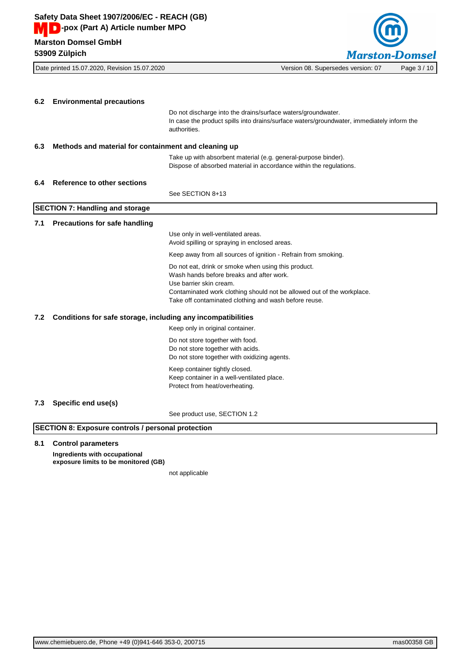

**6.2 Environmental precautions** Do not discharge into the drains/surface waters/groundwater. In case the product spills into drains/surface waters/groundwater, immediately inform the authorities. **6.3 Methods and material for containment and cleaning up** Take up with absorbent material (e.g. general-purpose binder). Dispose of absorbed material in accordance within the regulations. **6.4 Reference to other sections** See SECTION 8+13 **SECTION 7: Handling and storage 7.1 Precautions for safe handling** Use only in well-ventilated areas. Avoid spilling or spraying in enclosed areas. Keep away from all sources of ignition - Refrain from smoking. Do not eat, drink or smoke when using this product. Wash hands before breaks and after work. Use barrier skin cream. Contaminated work clothing should not be allowed out of the workplace. Take off contaminated clothing and wash before reuse. **7.2 Conditions for safe storage, including any incompatibilities** Keep only in original container. Do not store together with food. Do not store together with acids. Do not store together with oxidizing agents. Keep container tightly closed. Keep container in a well-ventilated place. Protect from heat/overheating. **7.3 Specific end use(s)** See product use, SECTION 1.2 **SECTION 8: Exposure controls / personal protection**

## **8.1 Control parameters**

**Ingredients with occupational exposure limits to be monitored (GB)**

not applicable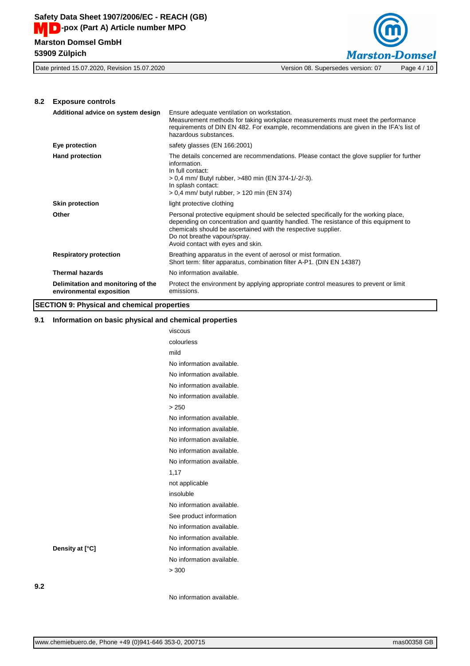

## **8.2 Exposure controls**

| Additional advice on system design                             | Ensure adequate ventilation on workstation.<br>Measurement methods for taking workplace measurements must meet the performance<br>requirements of DIN EN 482. For example, recommendations are given in the IFA's list of<br>hazardous substances.                                                                 |
|----------------------------------------------------------------|--------------------------------------------------------------------------------------------------------------------------------------------------------------------------------------------------------------------------------------------------------------------------------------------------------------------|
| Eye protection                                                 | safety glasses (EN 166:2001)                                                                                                                                                                                                                                                                                       |
| <b>Hand protection</b>                                         | The details concerned are recommendations. Please contact the glove supplier for further<br>information.<br>In full contact:<br>> 0,4 mm/ Butyl rubber, >480 min (EN 374-1/-2/-3).<br>In splash contact:<br>> 0,4 mm/ butyl rubber, > 120 min (EN 374)                                                             |
| <b>Skin protection</b>                                         | light protective clothing                                                                                                                                                                                                                                                                                          |
| Other                                                          | Personal protective equipment should be selected specifically for the working place,<br>depending on concentration and quantity handled. The resistance of this equipment to<br>chemicals should be ascertained with the respective supplier.<br>Do not breathe vapour/spray.<br>Avoid contact with eyes and skin. |
| <b>Respiratory protection</b>                                  | Breathing apparatus in the event of aerosol or mist formation.<br>Short term: filter apparatus, combination filter A-P1. (DIN EN 14387)                                                                                                                                                                            |
| <b>Thermal hazards</b>                                         | No information available.                                                                                                                                                                                                                                                                                          |
| Delimitation and monitoring of the<br>environmental exposition | Protect the environment by applying appropriate control measures to prevent or limit<br>emissions.                                                                                                                                                                                                                 |

## **SECTION 9: Physical and chemical properties**

## **9.1 Information on basic physical and chemical properties**

|                 | viscous                   |
|-----------------|---------------------------|
|                 | colourless                |
|                 | mild                      |
|                 | No information available. |
|                 | No information available. |
|                 | No information available. |
|                 | No information available. |
|                 | > 250                     |
|                 | No information available. |
|                 | No information available. |
|                 | No information available. |
|                 | No information available. |
|                 | No information available. |
|                 | 1,17                      |
|                 | not applicable            |
|                 | insoluble                 |
|                 | No information available. |
|                 | See product information   |
|                 | No information available. |
|                 | No information available. |
| Density at [°C] | No information available. |
|                 | No information available. |
|                 | > 300                     |
|                 |                           |
|                 | No information available. |
|                 |                           |

**9.2**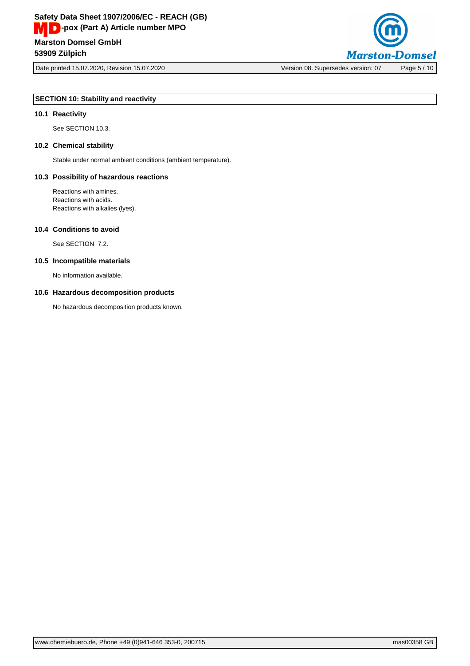

Date printed 15.07.2020, Revision 15.07.2020 Version 08. Supersedes version: 07 Page 5 / 10

## **SECTION 10: Stability and reactivity**

## **10.1 Reactivity**

See SECTION 10.3.

#### **10.2 Chemical stability**

Stable under normal ambient conditions (ambient temperature).

#### **10.3 Possibility of hazardous reactions**

Reactions with amines. Reactions with acids. Reactions with alkalies (lyes).

#### **10.4 Conditions to avoid**

See SECTION 7.2.

#### **10.5 Incompatible materials**

No information available.

#### **10.6 Hazardous decomposition products**

No hazardous decomposition products known.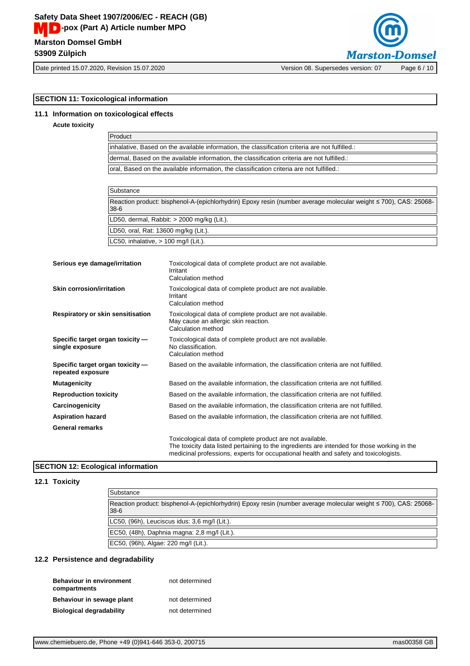

Date printed 15.07.2020, Revision 15.07.2020 Version 08. Supersedes version: 07 Page 6 / 10

## **SECTION 11: Toxicological information**

## **11.1 Information on toxicological effects**

**Acute toxicity**

| Product                                                                                         |
|-------------------------------------------------------------------------------------------------|
| inhalative, Based on the available information, the classification criteria are not fulfilled.: |
| dermal, Based on the available information, the classification criteria are not fulfilled.:     |
| oral. Based on the available information, the classification criteria are not fulfilled.:       |

| Substance                                                                                                                   |
|-----------------------------------------------------------------------------------------------------------------------------|
| Reaction product: bisphenol-A-(epichlorhydrin) Epoxy resin (number average molecular weight ≤ 700), CAS: 25068-<br>$38 - 6$ |
| LD50, dermal, Rabbit: $>$ 2000 mg/kg (Lit.).                                                                                |
| LD50, oral, Rat: 13600 mg/kg (Lit.).                                                                                        |
| LC50, inhalative, $> 100$ mg/l (Lit.).                                                                                      |

| Serious eye damage/irritation                         | Toxicological data of complete product are not available.<br>Irritant<br>Calculation method                                                                                                                                                       |
|-------------------------------------------------------|---------------------------------------------------------------------------------------------------------------------------------------------------------------------------------------------------------------------------------------------------|
| Skin corrosion/irritation                             | Toxicological data of complete product are not available.<br>Irritant<br>Calculation method                                                                                                                                                       |
| Respiratory or skin sensitisation                     | Toxicological data of complete product are not available.<br>May cause an allergic skin reaction.<br>Calculation method                                                                                                                           |
| Specific target organ toxicity -<br>single exposure   | Toxicological data of complete product are not available.<br>No classification.<br>Calculation method                                                                                                                                             |
| Specific target organ toxicity -<br>repeated exposure | Based on the available information, the classification criteria are not fulfilled.                                                                                                                                                                |
| <b>Mutagenicity</b>                                   | Based on the available information, the classification criteria are not fulfilled.                                                                                                                                                                |
| <b>Reproduction toxicity</b>                          | Based on the available information, the classification criteria are not fulfilled.                                                                                                                                                                |
| Carcinogenicity                                       | Based on the available information, the classification criteria are not fulfilled.                                                                                                                                                                |
| <b>Aspiration hazard</b>                              | Based on the available information, the classification criteria are not fulfilled.                                                                                                                                                                |
| <b>General remarks</b>                                |                                                                                                                                                                                                                                                   |
|                                                       | Toxicological data of complete product are not available.<br>The toxicity data listed pertaining to the ingredients are intended for those working in the<br>medicinal professions, experts for occupational health and safety and toxicologists. |

## **SECTION 12: Ecological information**

## **12.1 Toxicity**

| Substance                                                                                                                 |
|---------------------------------------------------------------------------------------------------------------------------|
| Reaction product: bisphenol-A-(epichlorhydrin) Epoxy resin (number average molecular weight ≤ 700), CAS: 25068-<br>$38-6$ |
| LC50, (96h), Leuciscus idus: 3,6 mg/l (Lit.).                                                                             |
| EC50, (48h), Daphnia magna: 2,8 mg/l (Lit.).                                                                              |
| EC50, (96h), Algae: 220 mg/l (Lit.).                                                                                      |

## **12.2 Persistence and degradability**

| <b>Behaviour in environment</b><br>compartments | not determined |
|-------------------------------------------------|----------------|
| Behaviour in sewage plant                       | not determined |
| <b>Biological degradability</b>                 | not determined |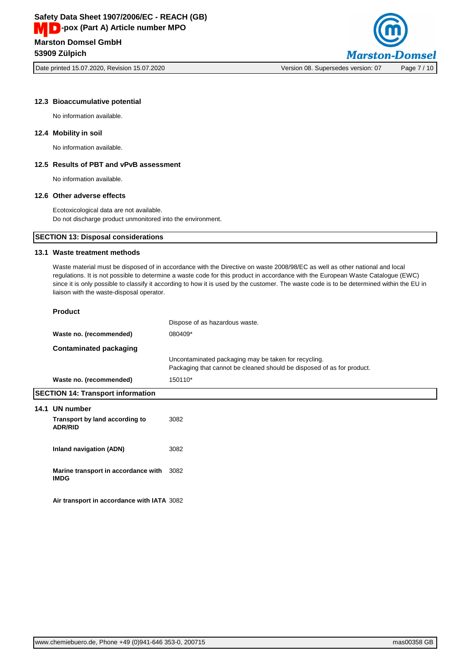Date printed 15.07.2020, Revision 15.07.2020 Version 08. Supersedes version: 07 Page 7 / 10



#### **12.3 Bioaccumulative potential**

No information available.

#### **12.4 Mobility in soil**

No information available.

## **12.5 Results of PBT and vPvB assessment**

No information available.

#### **12.6 Other adverse effects**

Ecotoxicological data are not available. Do not discharge product unmonitored into the environment.

## **SECTION 13: Disposal considerations**

## **13.1 Waste treatment methods**

Waste material must be disposed of in accordance with the Directive on waste 2008/98/EC as well as other national and local regulations. It is not possible to determine a waste code for this product in accordance with the European Waste Catalogue (EWC) since it is only possible to classify it according to how it is used by the customer. The waste code is to be determined within the EU in liaison with the waste-disposal operator.

|      | <b>Product</b>                                          |                                                                                                                                |  |
|------|---------------------------------------------------------|--------------------------------------------------------------------------------------------------------------------------------|--|
|      |                                                         | Dispose of as hazardous waste.                                                                                                 |  |
|      | Waste no. (recommended)                                 | 080409*                                                                                                                        |  |
|      | <b>Contaminated packaging</b>                           |                                                                                                                                |  |
|      |                                                         | Uncontaminated packaging may be taken for recycling.<br>Packaging that cannot be cleaned should be disposed of as for product. |  |
|      | Waste no. (recommended)                                 | 150110*                                                                                                                        |  |
|      | <b>SECTION 14: Transport information</b>                |                                                                                                                                |  |
| 14.1 | UN number                                               |                                                                                                                                |  |
|      | Transport by land according to<br><b>ADR/RID</b>        | 3082                                                                                                                           |  |
|      | Inland navigation (ADN)                                 | 3082                                                                                                                           |  |
|      | Marine transport in accordance with 3082<br><b>IMDG</b> |                                                                                                                                |  |
|      | Air transport in accordance with IATA 3082              |                                                                                                                                |  |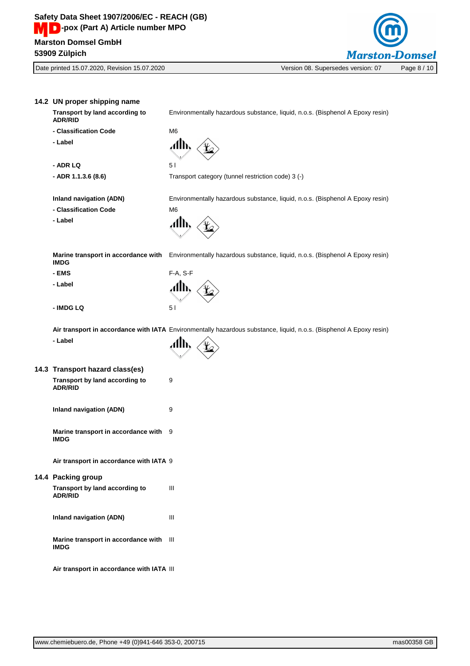

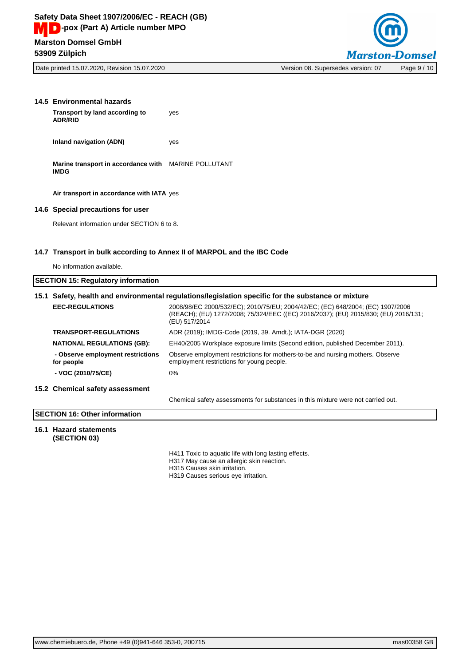

| 14.5 Environmental hazards<br>Transport by land according to<br><b>ADR/RID</b> | yes                                                                     |
|--------------------------------------------------------------------------------|-------------------------------------------------------------------------|
| Inland navigation (ADN)                                                        | yes                                                                     |
| Marine transport in accordance with MARINE POLLUTANT<br><b>IMDG</b>            |                                                                         |
| Air transport in accordance with IATA yes                                      |                                                                         |
| 14.6 Special precautions for user                                              |                                                                         |
| Relevant information under SECTION 6 to 8.                                     |                                                                         |
|                                                                                | 14.7 Transport in bulk according to Annex II of MARPOL and the IBC Code |

No information available.

|                                                 | 15.1 Safety, health and environmental regulations/legislation specific for the substance or mixture                                                                                    |  |
|-------------------------------------------------|----------------------------------------------------------------------------------------------------------------------------------------------------------------------------------------|--|
| <b>EEC-REGULATIONS</b>                          | 2008/98/EC 2000/532/EC); 2010/75/EU; 2004/42/EC; (EC) 648/2004; (EC) 1907/2006<br>(REACH); (EU) 1272/2008; 75/324/EEC ((EC) 2016/2037); (EU) 2015/830; (EU) 2016/131;<br>(EU) 517/2014 |  |
| <b>TRANSPORT-REGULATIONS</b>                    | ADR (2019); IMDG-Code (2019, 39. Amdt.); IATA-DGR (2020)                                                                                                                               |  |
| <b>NATIONAL REGULATIONS (GB):</b>               | EH40/2005 Workplace exposure limits (Second edition, published December 2011).                                                                                                         |  |
| - Observe employment restrictions<br>for people | Observe employment restrictions for mothers-to-be and nursing mothers. Observe<br>employment restrictions for young people.                                                            |  |
| - VOC (2010/75/CE)                              | 0%                                                                                                                                                                                     |  |
| 15.2 Chemical safety assessment                 |                                                                                                                                                                                        |  |
|                                                 | Chemical safety assessments for substances in this mixture were not carried out.                                                                                                       |  |

## **SECTION 16: Other information**

#### **16.1 Hazard statements (SECTION 03)**

H411 Toxic to aquatic life with long lasting effects.

H317 May cause an allergic skin reaction.

H315 Causes skin irritation.

H319 Causes serious eye irritation.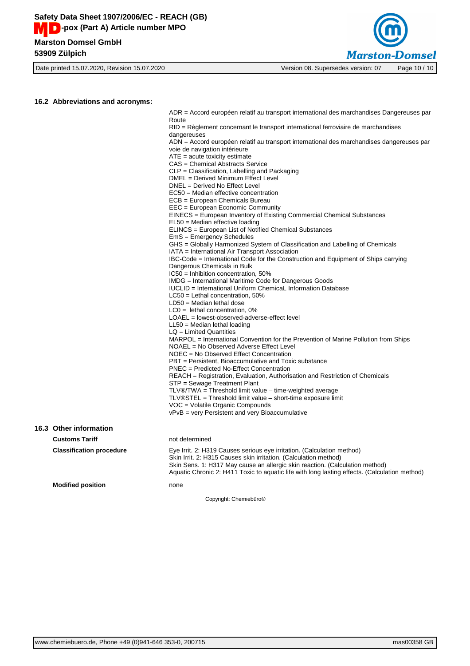



**Marston-Domsel** Date printed 15.07.2020, Revision 15.07.2020 Version 08. Supersedes version: 07 Page 10 / 10

ADR = Accord européen relatif au transport international des marchandises Dangereuses par

|                                 | Route                                                                                                                                                                                                                      |
|---------------------------------|----------------------------------------------------------------------------------------------------------------------------------------------------------------------------------------------------------------------------|
|                                 | RID = Règlement concernant le transport international ferroviaire de marchandises                                                                                                                                          |
|                                 | dangereuses                                                                                                                                                                                                                |
|                                 | ADN = Accord européen relatif au transport international des marchandises dangereuses par                                                                                                                                  |
|                                 | voie de navigation intérieure                                                                                                                                                                                              |
|                                 | $ATE = acute$ toxicity estimate                                                                                                                                                                                            |
|                                 | CAS = Chemical Abstracts Service                                                                                                                                                                                           |
|                                 | $CLP = Classification$ , Labelling and Packaging                                                                                                                                                                           |
|                                 | DMEL = Derived Minimum Effect Level                                                                                                                                                                                        |
|                                 | DNEL = Derived No Effect Level                                                                                                                                                                                             |
|                                 | EC50 = Median effective concentration                                                                                                                                                                                      |
|                                 | ECB = European Chemicals Bureau                                                                                                                                                                                            |
|                                 | EEC = European Economic Community                                                                                                                                                                                          |
|                                 | EINECS = European Inventory of Existing Commercial Chemical Substances<br>EL50 = Median effective loading                                                                                                                  |
|                                 | ELINCS = European List of Notified Chemical Substances                                                                                                                                                                     |
|                                 | EmS = Emergency Schedules                                                                                                                                                                                                  |
|                                 | GHS = Globally Harmonized System of Classification and Labelling of Chemicals                                                                                                                                              |
|                                 | IATA = International Air Transport Association                                                                                                                                                                             |
|                                 | IBC-Code = International Code for the Construction and Equipment of Ships carrying                                                                                                                                         |
|                                 | Dangerous Chemicals in Bulk                                                                                                                                                                                                |
|                                 | $IC50 = Inhibition concentration, 50%$                                                                                                                                                                                     |
|                                 | IMDG = International Maritime Code for Dangerous Goods                                                                                                                                                                     |
|                                 | IUCLID = International Uniform ChemicaL Information Database                                                                                                                                                               |
|                                 | $LC50$ = Lethal concentration, 50%                                                                                                                                                                                         |
|                                 | $LD50 = Median$ lethal dose                                                                                                                                                                                                |
|                                 | $LCO =$ lethal concentration, 0%                                                                                                                                                                                           |
|                                 | LOAEL = lowest-observed-adverse-effect level                                                                                                                                                                               |
|                                 | $LL50$ = Median lethal loading                                                                                                                                                                                             |
|                                 | $LQ =$ Limited Quantities                                                                                                                                                                                                  |
|                                 | MARPOL = International Convention for the Prevention of Marine Pollution from Ships                                                                                                                                        |
|                                 | NOAEL = No Observed Adverse Effect Level                                                                                                                                                                                   |
|                                 | NOEC = No Observed Effect Concentration                                                                                                                                                                                    |
|                                 | PBT = Persistent, Bioaccumulative and Toxic substance                                                                                                                                                                      |
|                                 | PNEC = Predicted No-Effect Concentration                                                                                                                                                                                   |
|                                 | REACH = Registration, Evaluation, Authorisation and Restriction of Chemicals                                                                                                                                               |
|                                 | STP = Sewage Treatment Plant                                                                                                                                                                                               |
|                                 | $TLV@/TWA = Threshold limit value - time-weighted average$                                                                                                                                                                 |
|                                 | TLV®STEL = Threshold limit value – short-time exposure limit                                                                                                                                                               |
|                                 | VOC = Volatile Organic Compounds                                                                                                                                                                                           |
|                                 | vPvB = very Persistent and very Bioaccumulative                                                                                                                                                                            |
| 16.3 Other information          |                                                                                                                                                                                                                            |
|                                 |                                                                                                                                                                                                                            |
| <b>Customs Tariff</b>           | not determined                                                                                                                                                                                                             |
| <b>Classification procedure</b> | Eye Irrit. 2: H319 Causes serious eye irritation. (Calculation method)<br>Skin Irrit. 2: H315 Causes skin irritation. (Calculation method)<br>Skin Sens. 1: H317 May cause an allergic skin reaction. (Calculation method) |
|                                 | Aquatic Chronic 2: H411 Toxic to aquatic life with long lasting effects. (Calculation method)                                                                                                                              |
| <b>Modified position</b>        | none                                                                                                                                                                                                                       |
|                                 |                                                                                                                                                                                                                            |
|                                 | Copyright: Chemiebüro®                                                                                                                                                                                                     |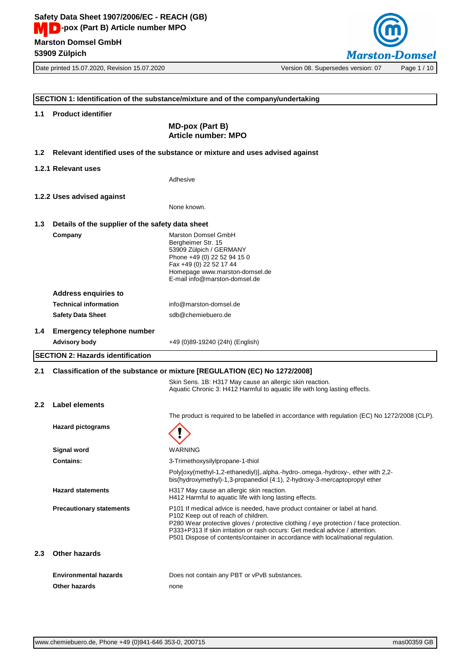Date printed 15.07.2020, Revision 15.07.2020 Version 08. Supersedes version: 07 Page 1 / 10



**SECTION 1: Identification of the substance/mixture and of the company/undertaking 1.1 Product identifier MD-pox (Part B) Article number: MPO 1.2 Relevant identified uses of the substance or mixture and uses advised against 1.2.1 Relevant uses** Adhesive **1.2.2 Uses advised against** None known. **1.3 Details of the supplier of the safety data sheet Company** Marston Domsel GmbH Bergheimer Str. 15 53909 Zülpich / GERMANY Phone +49 (0) 22 52 94 15 0 Fax +49 (0) 22 52 17 44 Homepage [www.marston-domsel.de](http://www.marston-domsel.de) E-mail [info@marston-domsel.de](mailto:info@marston-domsel.de) **Address enquiries to Technical information** [info@marston-domsel.de](mailto:info@marston-domsel.de) **Safety Data Sheet** [sdb@chemiebuero.de](mailto:sdb@chemiebuero.de) **1.4 Emergency telephone number Advisory body** +49 (0)89-19240 (24h) (English) **SECTION 2: Hazards identification 2.1 Classification of the substance or mixture [REGULATION (EC) No 1272/2008]** Skin Sens. 1B: H317 May cause an allergic skin reaction. Aquatic Chronic 3: H412 Harmful to aquatic life with long lasting effects. **2.2 Label elements** The product is required to be labelled in accordance with regulation (EC) No 1272/2008 (CLP). **Hazard pictograms Signal word** WARNING **Contains:** 3-Trimethoxysilylpropane-1-thiol Poly[oxy(methyl-1,2-ethanediyl)],.alpha.-hydro-.omega.-hydroxy-, ether with 2,2 bis(hydroxymethyl)-1,3-propanediol (4:1), 2-hydroxy-3-mercaptopropyl ether Hazard statements **H317 May cause an allergic skin reaction.** H412 Harmful to aquatic life with long lasting effects. **Precautionary statements** P101 If medical advice is needed, have product container or label at hand. P102 Keep out of reach of children. P280 Wear protective gloves / protective clothing / eye protection / face protection. P333+P313 If skin irritation or rash occurs: Get medical advice / attention. P501 Dispose of contents/container in accordance with local/national regulation. **2.3 Other hazards Environmental hazards** Does not contain any PBT or vPvB substances. **Other hazards** none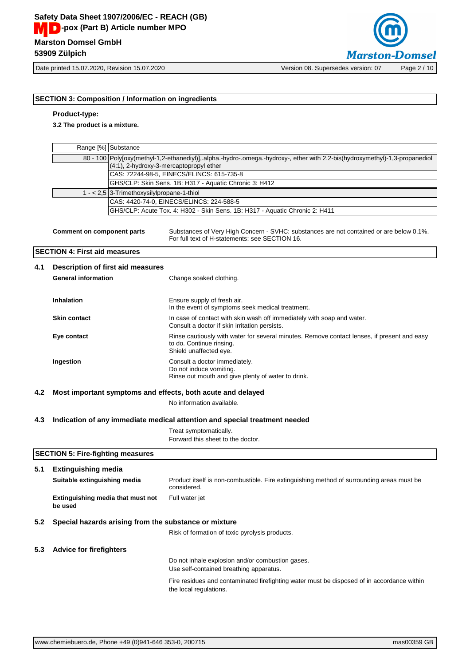

Date printed 15.07.2020, Revision 15.07.2020 Version 08. Supersedes version: 07 Page 2 / 10

## **SECTION 3: Composition / Information on ingredients**

## **Product-type:**

**3.2 The product is a mixture.**

|     |                                              | Range [%] Substance                        |                                                                                                                                                                        |
|-----|----------------------------------------------|--------------------------------------------|------------------------------------------------------------------------------------------------------------------------------------------------------------------------|
|     |                                              |                                            | 80 - 100 Poly[oxy(methyl-1,2-ethanediyl)], alpha.-hydro-.omega.-hydroxy-, ether with 2,2-bis(hydroxymethyl)-1,3-propanediol<br>(4:1), 2-hydroxy-3-mercaptopropyl ether |
|     |                                              |                                            | CAS: 72244-98-5, EINECS/ELINCS: 615-735-8                                                                                                                              |
|     |                                              |                                            | GHS/CLP: Skin Sens. 1B: H317 - Aquatic Chronic 3: H412                                                                                                                 |
|     |                                              | 1 - < 2,5 3-Trimethoxysilylpropane-1-thiol |                                                                                                                                                                        |
|     |                                              |                                            | CAS: 4420-74-0, EINECS/ELINCS: 224-588-5                                                                                                                               |
|     |                                              |                                            | GHS/CLP: Acute Tox. 4: H302 - Skin Sens. 1B: H317 - Aquatic Chronic 2: H411                                                                                            |
|     | <b>Comment on component parts</b>            |                                            | Substances of Very High Concern - SVHC: substances are not contained or are below 0.1%.<br>For full text of H-statements: see SECTION 16.                              |
|     | <b>SECTION 4: First aid measures</b>         |                                            |                                                                                                                                                                        |
| 4.1 |                                              | Description of first aid measures          |                                                                                                                                                                        |
|     | <b>General information</b>                   |                                            | Change soaked clothing.                                                                                                                                                |
|     | Inhalation                                   |                                            | Ensure supply of fresh air.<br>In the event of symptoms seek medical treatment.                                                                                        |
|     | <b>Skin contact</b>                          |                                            | In case of contact with skin wash off immediately with soap and water.<br>Consult a doctor if skin irritation persists.                                                |
|     | Eye contact                                  |                                            | Rinse cautiously with water for several minutes. Remove contact lenses, if present and easy<br>to do. Continue rinsing.<br>Shield unaffected eye.                      |
|     | Ingestion                                    |                                            | Consult a doctor immediately.<br>Do not induce vomiting.<br>Rinse out mouth and give plenty of water to drink.                                                         |
| 4.2 |                                              |                                            | Most important symptoms and effects, both acute and delayed                                                                                                            |
|     |                                              |                                            | No information available.                                                                                                                                              |
| 4.3 |                                              |                                            | Indication of any immediate medical attention and special treatment needed                                                                                             |
|     |                                              |                                            | Treat symptomatically.<br>Forward this sheet to the doctor.                                                                                                            |
|     | <b>SECTION 5: Fire-fighting measures</b>     |                                            |                                                                                                                                                                        |
| 5.1 | <b>Extinguishing media</b>                   |                                            |                                                                                                                                                                        |
|     | Suitable extinguishing media                 |                                            | Product itself is non-combustible. Fire extinguishing method of surrounding areas must be<br>considered.                                                               |
|     | Extinguishing media that must not<br>be used |                                            | Full water jet                                                                                                                                                         |
| 5.2 |                                              |                                            | Special hazards arising from the substance or mixture                                                                                                                  |
|     |                                              |                                            | Risk of formation of toxic pyrolysis products.                                                                                                                         |
| 5.3 | <b>Advice for firefighters</b>               |                                            |                                                                                                                                                                        |
|     |                                              |                                            | Do not inhale explosion and/or combustion gases.<br>Use self-contained breathing apparatus.                                                                            |
|     |                                              |                                            | Fire residues and contaminated firefighting water must be disposed of in accordance within<br>the local regulations.                                                   |
|     |                                              |                                            |                                                                                                                                                                        |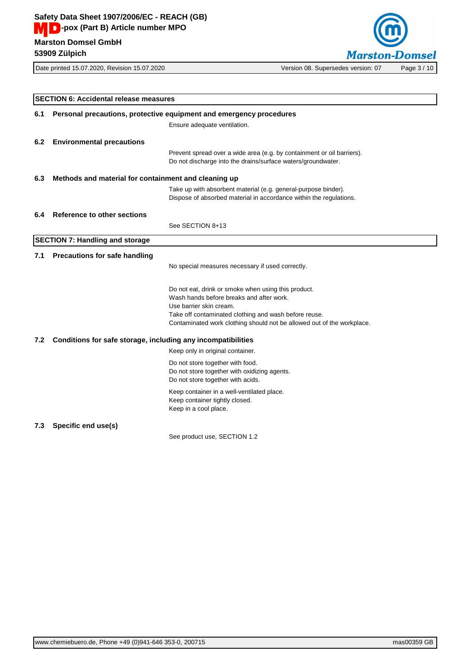

|     | <b>SECTION 6: Accidental release measures</b>                       |                                                                                                                                                                                                                                                               |
|-----|---------------------------------------------------------------------|---------------------------------------------------------------------------------------------------------------------------------------------------------------------------------------------------------------------------------------------------------------|
| 6.1 | Personal precautions, protective equipment and emergency procedures |                                                                                                                                                                                                                                                               |
|     |                                                                     | Ensure adequate ventilation.                                                                                                                                                                                                                                  |
| 6.2 | <b>Environmental precautions</b>                                    |                                                                                                                                                                                                                                                               |
|     |                                                                     | Prevent spread over a wide area (e.g. by containment or oil barriers).<br>Do not discharge into the drains/surface waters/groundwater.                                                                                                                        |
| 6.3 | Methods and material for containment and cleaning up                |                                                                                                                                                                                                                                                               |
|     |                                                                     | Take up with absorbent material (e.g. general-purpose binder).<br>Dispose of absorbed material in accordance within the regulations.                                                                                                                          |
| 6.4 | <b>Reference to other sections</b>                                  |                                                                                                                                                                                                                                                               |
|     |                                                                     | See SECTION 8+13                                                                                                                                                                                                                                              |
|     | <b>SECTION 7: Handling and storage</b>                              |                                                                                                                                                                                                                                                               |
| 7.1 | Precautions for safe handling                                       |                                                                                                                                                                                                                                                               |
|     |                                                                     | No special measures necessary if used correctly.                                                                                                                                                                                                              |
|     |                                                                     | Do not eat, drink or smoke when using this product.<br>Wash hands before breaks and after work.<br>Use barrier skin cream.<br>Take off contaminated clothing and wash before reuse.<br>Contaminated work clothing should not be allowed out of the workplace. |
| 7.2 | Conditions for safe storage, including any incompatibilities        |                                                                                                                                                                                                                                                               |
|     |                                                                     | Keep only in original container.                                                                                                                                                                                                                              |
|     |                                                                     | Do not store together with food.<br>Do not store together with oxidizing agents.<br>Do not store together with acids.                                                                                                                                         |
|     |                                                                     | Keep container in a well-ventilated place.<br>Keep container tightly closed.<br>Keep in a cool place.                                                                                                                                                         |
| 7.3 | Specific end use(s)                                                 |                                                                                                                                                                                                                                                               |
|     |                                                                     | See product use, SECTION 1.2                                                                                                                                                                                                                                  |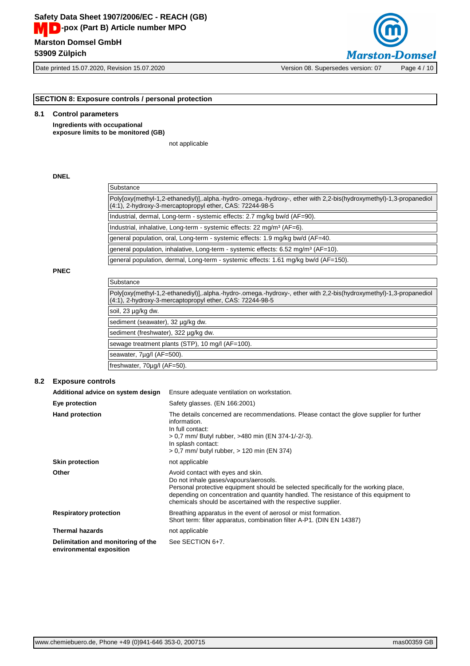Date printed 15.07.2020, Revision 15.07.2020 Version 08. Supersedes version: 07 Page 4 / 10



**SECTION 8: Exposure controls / personal protection**

#### **8.1 Control parameters**

**Ingredients with occupational exposure limits to be monitored (GB)**

not applicable

#### **DNEL**

| Substance                                                                                                                                                                      |
|--------------------------------------------------------------------------------------------------------------------------------------------------------------------------------|
| Poly[oxy(methyl-1,2-ethanediyl)], alpha.-hydro-.omega.-hydroxy-, ether with 2,2-bis(hydroxymethyl)-1,3-propanediol<br>(4:1), 2-hydroxy-3-mercaptopropyl ether, CAS: 72244-98-5 |
| Industrial, dermal, Long-term - systemic effects: 2.7 mg/kg bw/d (AF=90).                                                                                                      |
| Industrial, inhalative, Long-term - systemic effects: 22 mg/m <sup>3</sup> (AF=6).                                                                                             |
| general population, oral, Long-term - systemic effects: 1.9 mg/kg bw/d (AF=40.                                                                                                 |
| general population, inhalative, Long-term - systemic effects: 6.52 mg/m <sup>3</sup> (AF=10).                                                                                  |
| general population, dermal, Long-term - systemic effects: 1.61 mg/kg bw/d (AF=150).                                                                                            |

#### **PNEC**

| Substance                                                                                                                                                                      |  |
|--------------------------------------------------------------------------------------------------------------------------------------------------------------------------------|--|
| Poly[oxy(methyl-1,2-ethanediyl)], alpha.-hydro-.omega.-hydroxy-, ether with 2,2-bis(hydroxymethyl)-1,3-propanediol<br>(4:1), 2-hydroxy-3-mercaptopropyl ether, CAS: 72244-98-5 |  |
| soil, 23 µg/kg dw.                                                                                                                                                             |  |
| sediment (seawater), 32 µg/kg dw.                                                                                                                                              |  |
| sediment (freshwater), 322 µg/kg dw.                                                                                                                                           |  |
| sewage treatment plants (STP), 10 mg/l (AF=100).                                                                                                                               |  |
| seawater, 7ug/l (AF=500).                                                                                                                                                      |  |
| freshwater, 70µg/l (AF=50).                                                                                                                                                    |  |

#### **8.2 Exposure controls**

| Additional advice on system design                             | Ensure adequate ventilation on workstation.                                                                                                                                                                                                                                                                                 |
|----------------------------------------------------------------|-----------------------------------------------------------------------------------------------------------------------------------------------------------------------------------------------------------------------------------------------------------------------------------------------------------------------------|
| Eye protection                                                 | Safety glasses. (EN 166:2001)                                                                                                                                                                                                                                                                                               |
| <b>Hand protection</b>                                         | The details concerned are recommendations. Please contact the glove supplier for further<br>information.<br>In full contact:<br>> 0,7 mm/ Butyl rubber, >480 min (EN 374-1/-2/-3).<br>In splash contact:<br>> 0,7 mm/ butyl rubber, > 120 min (EN 374)                                                                      |
| <b>Skin protection</b>                                         | not applicable                                                                                                                                                                                                                                                                                                              |
| Other                                                          | Avoid contact with eyes and skin.<br>Do not inhale gases/vapours/aerosols.<br>Personal protective equipment should be selected specifically for the working place,<br>depending on concentration and quantity handled. The resistance of this equipment to<br>chemicals should be ascertained with the respective supplier. |
| <b>Respiratory protection</b>                                  | Breathing apparatus in the event of aerosol or mist formation.<br>Short term: filter apparatus, combination filter A-P1. (DIN EN 14387)                                                                                                                                                                                     |
| <b>Thermal hazards</b>                                         | not applicable                                                                                                                                                                                                                                                                                                              |
| Delimitation and monitoring of the<br>environmental exposition | See SECTION 6+7.                                                                                                                                                                                                                                                                                                            |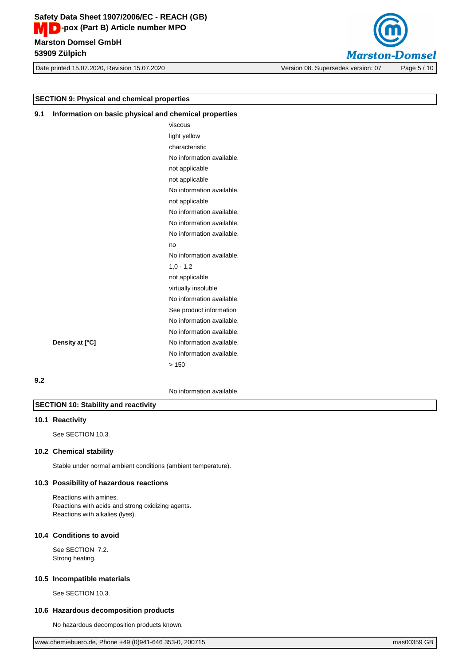**Marston Domsel GmbH Safety Data Sheet 1907/2006/EC - REACH (GB) MD**-pox (Part B) Article number MPO

**53909 Zülpich**

Date printed 15.07.2020, Revision 15.07.2020 Version 08. Supersedes version: 07 Page 5 / 10



## **SECTION 9: Physical and chemical properties**

| Information on basic physical and chemical properties<br>9.1 |              |
|--------------------------------------------------------------|--------------|
|                                                              | viscous      |
|                                                              | light vellow |

| light yellow              |
|---------------------------|
| characteristic            |
| No information available. |
| not applicable            |
| not applicable            |
| No information available. |
| not applicable            |
| No information available. |
| No information available. |
| No information available. |
| no                        |
| No information available. |
| $1,0 - 1,2$               |
| not applicable            |
| virtually insoluble       |
| No information available. |
| See product information   |
| No information available. |
| No information available. |
| No information available. |
| No information available. |
| >150                      |
|                           |

## **9.2**

No information available.

## **SECTION 10: Stability and reactivity**

## **10.1 Reactivity**

See SECTION 10.3.

#### **10.2 Chemical stability**

**Density at [°C]** 

Stable under normal ambient conditions (ambient temperature).

#### **10.3 Possibility of hazardous reactions**

Reactions with amines. Reactions with acids and strong oxidizing agents. Reactions with alkalies (lyes).

## **10.4 Conditions to avoid**

See SECTION 7.2. Strong heating.

#### **10.5 Incompatible materials**

See SECTION 10.3.

#### **10.6 Hazardous decomposition products**

No hazardous decomposition products known.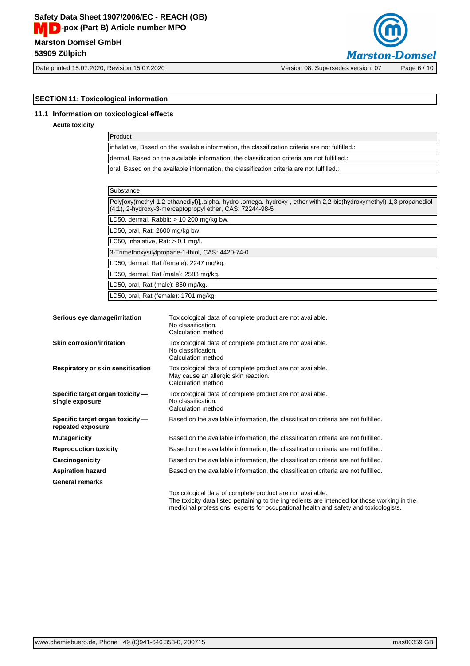

Date printed 15.07.2020, Revision 15.07.2020 Version 08. Supersedes version: 07 Page 6 / 10

## **SECTION 11: Toxicological information**

## **11.1 Information on toxicological effects**

#### **Acute toxicity**

| Product                                                                                          |  |
|--------------------------------------------------------------------------------------------------|--|
| linhalative. Based on the available information, the classification criteria are not fulfilled.: |  |
| dermal. Based on the available information, the classification criteria are not fulfilled.:      |  |
| oral, Based on the available information, the classification criteria are not fulfilled.:        |  |
|                                                                                                  |  |

| Substance                                                                                                                                                                      |  |
|--------------------------------------------------------------------------------------------------------------------------------------------------------------------------------|--|
| Polyjoxy(methyl-1,2-ethanediyl)], alpha.-hydro-.omega.-hydroxy-, ether with 2,2-bis(hydroxymethyl)-1,3-propanediol<br>(4:1), 2-hydroxy-3-mercaptopropyl ether, CAS: 72244-98-5 |  |
| LD50, dermal, Rabbit: $> 10$ 200 mg/kg bw.                                                                                                                                     |  |
| LD50, oral, Rat: 2600 mg/kg bw.                                                                                                                                                |  |
| LC50, inhalative, Rat: $> 0.1$ mg/l.                                                                                                                                           |  |
| 3-Trimethoxysilylpropane-1-thiol, CAS: 4420-74-0                                                                                                                               |  |
| LD50, dermal, Rat (female): 2247 mg/kg.                                                                                                                                        |  |
| LD50, dermal, Rat (male): 2583 mg/kg.                                                                                                                                          |  |
| LD50, oral, Rat (male): 850 mg/kg.                                                                                                                                             |  |
| LD50, oral, Rat (female): 1701 mg/kg.                                                                                                                                          |  |

| Serious eye damage/irritation                         | Toxicological data of complete product are not available.<br>No classification.<br>Calculation method                   |
|-------------------------------------------------------|-------------------------------------------------------------------------------------------------------------------------|
| <b>Skin corrosion/irritation</b>                      | Toxicological data of complete product are not available.<br>No classification.<br>Calculation method                   |
| Respiratory or skin sensitisation                     | Toxicological data of complete product are not available.<br>May cause an allergic skin reaction.<br>Calculation method |
| Specific target organ toxicity -<br>single exposure   | Toxicological data of complete product are not available.<br>No classification.<br>Calculation method                   |
| Specific target organ toxicity -<br>repeated exposure | Based on the available information, the classification criteria are not fulfilled.                                      |
| <b>Mutagenicity</b>                                   | Based on the available information, the classification criteria are not fulfilled.                                      |
| <b>Reproduction toxicity</b>                          | Based on the available information, the classification criteria are not fulfilled.                                      |
| Carcinogenicity                                       | Based on the available information, the classification criteria are not fulfilled.                                      |
| <b>Aspiration hazard</b>                              | Based on the available information, the classification criteria are not fulfilled.                                      |
| <b>General remarks</b>                                |                                                                                                                         |
|                                                       | Toxicological data of complete product are not available.                                                               |

The toxicity data listed pertaining to the ingredients are intended for those working in the medicinal professions, experts for occupational health and safety and toxicologists.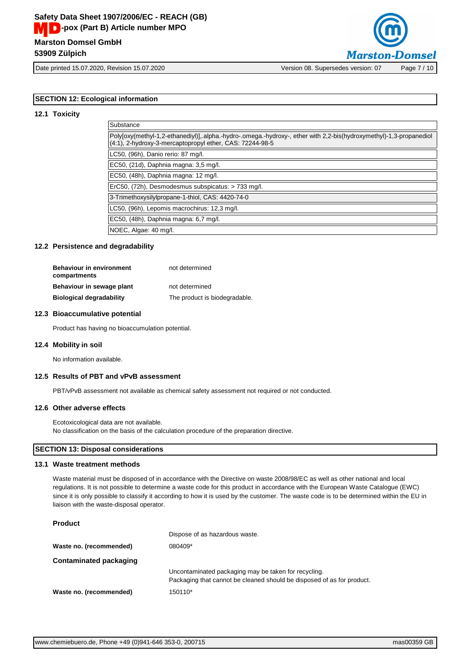

Date printed 15.07.2020, Revision 15.07.2020 Version 08. Supersedes version: 07 Page 7 / 10

## **SECTION 12: Ecological information**

#### **12.1 Toxicity**

| Substance                                                                                                                                                                      |
|--------------------------------------------------------------------------------------------------------------------------------------------------------------------------------|
| Poly[oxy(methyl-1,2-ethanediyl)],.alpha.-hydro-.omega.-hydroxy-, ether with 2,2-bis(hydroxymethyl)-1,3-propanediol<br>(4:1), 2-hydroxy-3-mercaptopropyl ether, CAS: 72244-98-5 |
| LC50, (96h), Danio rerio: 87 mg/l.                                                                                                                                             |
| EC50, (21d), Daphnia magna: 3,5 mg/l.                                                                                                                                          |
| EC50, (48h), Daphnia magna: 12 mg/l.                                                                                                                                           |
| ErC50, (72h), Desmodesmus subspicatus: > 733 mg/l.                                                                                                                             |
| 3-Trimethoxysilylpropane-1-thiol, CAS: 4420-74-0                                                                                                                               |
| LC50, (96h), Lepomis macrochirus: 12,3 mg/l.                                                                                                                                   |
| EC50, (48h), Daphnia magna: 6,7 mg/l.                                                                                                                                          |
| NOEC, Algae: 40 mg/l.                                                                                                                                                          |

#### **12.2 Persistence and degradability**

| <b>Behaviour in environment</b><br>compartments | not determined                |
|-------------------------------------------------|-------------------------------|
| Behaviour in sewage plant                       | not determined                |
| <b>Biological degradability</b>                 | The product is biodegradable. |

#### **12.3 Bioaccumulative potential**

Product has having no bioaccumulation potential.

#### **12.4 Mobility in soil**

No information available.

#### **12.5 Results of PBT and vPvB assessment**

PBT/vPvB assessment not available as chemical safety assessment not required or not conducted.

#### **12.6 Other adverse effects**

Ecotoxicological data are not available. No classification on the basis of the calculation procedure of the preparation directive.

## **SECTION 13: Disposal considerations**

#### **13.1 Waste treatment methods**

Waste material must be disposed of in accordance with the Directive on waste 2008/98/EC as well as other national and local regulations. It is not possible to determine a waste code for this product in accordance with the European Waste Catalogue (EWC) since it is only possible to classify it according to how it is used by the customer. The waste code is to be determined within the EU in liaison with the waste-disposal operator.

#### **Product**

|                         | Dispose of as hazardous waste.                                         |
|-------------------------|------------------------------------------------------------------------|
| Waste no. (recommended) | 080409*                                                                |
| Contaminated packaging  |                                                                        |
|                         | Uncontaminated packaging may be taken for recycling.                   |
|                         | Packaging that cannot be cleaned should be disposed of as for product. |
| Waste no. (recommended) | 150110*                                                                |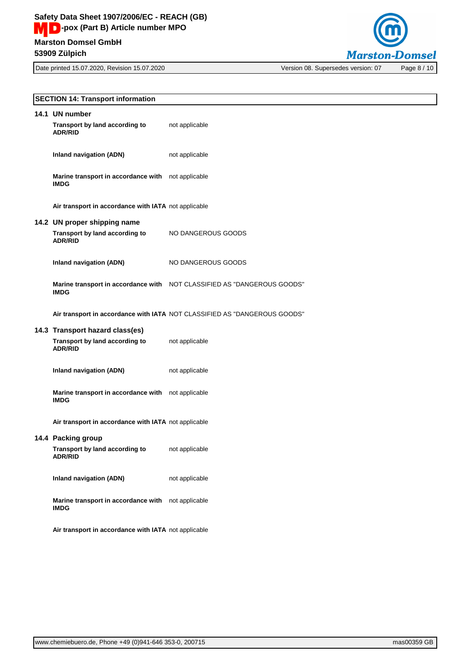Date printed 15.07.2020, Revision 15.07.2020 Version 08. Supersedes version: 07 Page 8 / 10



| <b>SECTION 14: Transport information</b>                                            |                                                                           |  |
|-------------------------------------------------------------------------------------|---------------------------------------------------------------------------|--|
| 14.1 UN number<br>Transport by land according to<br><b>ADR/RID</b>                  | not applicable                                                            |  |
| <b>Inland navigation (ADN)</b>                                                      | not applicable                                                            |  |
| Marine transport in accordance with not applicable<br><b>IMDG</b>                   |                                                                           |  |
| Air transport in accordance with IATA not applicable                                |                                                                           |  |
| 14.2 UN proper shipping name<br>Transport by land according to<br><b>ADR/RID</b>    | NO DANGEROUS GOODS                                                        |  |
| <b>Inland navigation (ADN)</b>                                                      | NO DANGEROUS GOODS                                                        |  |
| <b>IMDG</b>                                                                         | Marine transport in accordance with NOT CLASSIFIED AS "DANGEROUS GOODS"   |  |
|                                                                                     | Air transport in accordance with IATA NOT CLASSIFIED AS "DANGEROUS GOODS" |  |
| 14.3 Transport hazard class(es)<br>Transport by land according to<br><b>ADR/RID</b> | not applicable                                                            |  |
| <b>Inland navigation (ADN)</b>                                                      | not applicable                                                            |  |
| Marine transport in accordance with not applicable<br><b>IMDG</b>                   |                                                                           |  |
| Air transport in accordance with IATA not applicable                                |                                                                           |  |
| 14.4 Packing group<br>Transport by land according to<br><b>ADR/RID</b>              | not applicable                                                            |  |
| Inland navigation (ADN)                                                             | not applicable                                                            |  |
| Marine transport in accordance with not applicable<br><b>IMDG</b>                   |                                                                           |  |
| Air transport in accordance with IATA not applicable                                |                                                                           |  |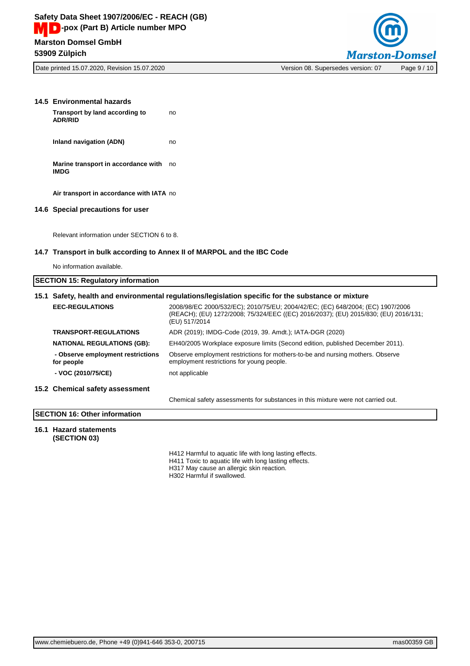

| 14.5 Environmental hazards<br>Transport by land according to<br><b>ADR/RID</b> | no                                                                                                                                                                                     |
|--------------------------------------------------------------------------------|----------------------------------------------------------------------------------------------------------------------------------------------------------------------------------------|
| <b>Inland navigation (ADN)</b>                                                 | no                                                                                                                                                                                     |
| Marine transport in accordance with no<br><b>IMDG</b>                          |                                                                                                                                                                                        |
| Air transport in accordance with IATA no                                       |                                                                                                                                                                                        |
| 14.6 Special precautions for user                                              |                                                                                                                                                                                        |
| Relevant information under SECTION 6 to 8.                                     |                                                                                                                                                                                        |
|                                                                                | 14.7 Transport in bulk according to Annex II of MARPOL and the IBC Code                                                                                                                |
| No information available.                                                      |                                                                                                                                                                                        |
| <b>SECTION 15: Regulatory information</b>                                      |                                                                                                                                                                                        |
|                                                                                | 15.1 Safety, health and environmental regulations/legislation specific for the substance or mixture                                                                                    |
| <b>EEC-REGULATIONS</b>                                                         | 2008/98/EC 2000/532/EC); 2010/75/EU; 2004/42/EC; (EC) 648/2004; (EC) 1907/2006<br>(REACH); (EU) 1272/2008; 75/324/EEC ((EC) 2016/2037); (EU) 2015/830; (EU) 2016/131;<br>(EU) 517/2014 |
| <b>TRANSPORT-REGULATIONS</b>                                                   | ADR (2019); IMDG-Code (2019, 39. Amdt.); IATA-DGR (2020)                                                                                                                               |
| <b>NATIONAL REGULATIONS (GB):</b>                                              | EH40/2005 Workplace exposure limits (Second edition, published December 2011).                                                                                                         |
| - Observe employment restrictions<br>for people                                | Observe employment restrictions for mothers-to-be and nursing mothers. Observe<br>employment restrictions for young people.                                                            |
| - VOC (2010/75/CE)                                                             | not applicable                                                                                                                                                                         |
| 15.2 Chemical safety assessment                                                |                                                                                                                                                                                        |
|                                                                                | Chemical safety assessments for substances in this mixture were not carried out.                                                                                                       |
| <b>SECTION 16: Other information</b>                                           |                                                                                                                                                                                        |
|                                                                                |                                                                                                                                                                                        |

#### **16.1 Hazard statements (SECTION 03)**

H412 Harmful to aquatic life with long lasting effects.

- H411 Toxic to aquatic life with long lasting effects.
- H317 May cause an allergic skin reaction.

H302 Harmful if swallowed.